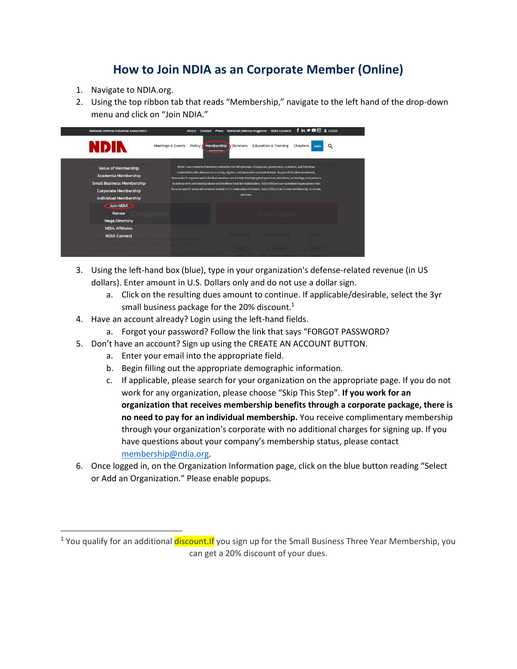## **How to Join NDIA as an Corporate Member (Online)**

- 1. Navigate to NDIA.org.
- 2. Using the top ribbon tab that reads "Membership," navigate to the left hand of the drop-down menu and click on "Join NDIA."

| <b>National Defense Industrial Association</b>                                                                                                              | f in <b>→ □</b> © 1 LOGIN<br>National Defense Magazine NDIA Connect<br>About<br><b>Press</b><br>Contact                                                                                                                                                                                                                                                                                                                                                                                                                                                                                                                                      |
|-------------------------------------------------------------------------------------------------------------------------------------------------------------|----------------------------------------------------------------------------------------------------------------------------------------------------------------------------------------------------------------------------------------------------------------------------------------------------------------------------------------------------------------------------------------------------------------------------------------------------------------------------------------------------------------------------------------------------------------------------------------------------------------------------------------------|
| <b>NDIN</b>                                                                                                                                                 | <b>Education &amp; Training</b><br>Membership<br><b>Divisions</b><br>Meetings & Events<br>Policy <b>A</b><br>Chapters<br>Q<br>Join                                                                                                                                                                                                                                                                                                                                                                                                                                                                                                           |
| <b>Value of Membership</b><br><b>Academia Membership</b><br><b>Small Business Membership</b><br><b>Corporate Membership</b><br><b>Individual Membership</b> | NDIA's vast network of members embodies the full spectrum of corporate, government, academic, and individual<br>stakeholders who advocate for a strong, vigilant, and innovative national defense. As part of this diverse network,<br>thousands of corporate and individual members are actively developing best practices, initiatives, technology, and products<br>in defense with continued guidance and feedback from key stakeholders. NDIA Affiliates are subsidiary organizations that<br>focus on specific areas and missions related to it's community of interest. Each affiliate has its own membership, structure,<br>and dues. |
| Join NDIA<br>Renew<br><b>Mega Directory</b>                                                                                                                 |                                                                                                                                                                                                                                                                                                                                                                                                                                                                                                                                                                                                                                              |
| <b>NDIA Affiliates</b><br><b>NDIA Connect</b>                                                                                                               | <b>COMMENTIONS</b>                                                                                                                                                                                                                                                                                                                                                                                                                                                                                                                                                                                                                           |
|                                                                                                                                                             |                                                                                                                                                                                                                                                                                                                                                                                                                                                                                                                                                                                                                                              |

- 3. Using the left-hand box (blue), type in your organization's defense-related revenue (in US dollars). Enter amount in U.S. Dollars only and do not use a dollar sign.
	- a. Click on the resulting dues amount to continue. If applicable/desirable, select the 3yr small business package for the 20% discount.<sup>1</sup>
- 4. Have an account already? Login using the left-hand fields.
	- a. Forgot your password? Follow the link that says "FORGOT PASSWORD?
- 5. Don't have an account? Sign up using the CREATE AN ACCOUNT BUTTON.
	- a. Enter your email into the appropriate field.
	- b. Begin filling out the appropriate demographic information.
	- c. If applicable, please search for your organization on the appropriate page. If you do not work for any organization, please choose "Skip This Step". **If you work for an organization that receives membership benefits through a corporate package, there is no need to pay for an individual membership.** You receive complimentary membership through your organization's corporate with no additional charges for signing up. If you have questions about your company's membership status, please contact [membership@ndia.org.](mailto:membership@ndia.org)
- 6. Once logged in, on the Organization Information page, click on the blue button reading "Select or Add an Organization." Please enable popups.

<sup>&</sup>lt;sup>1</sup> You qualify for an additional discount. If you sign up for the Small Business Three Year Membership, you can get a 20% discount of your dues.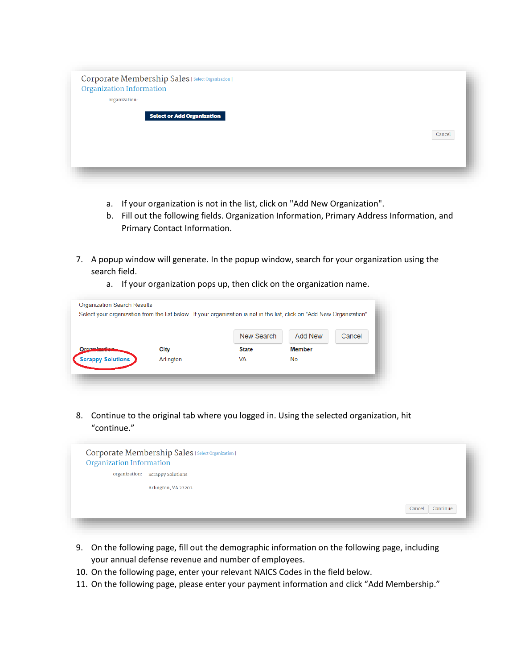| Corporate Membership Sales   Select Organization  <br><b>Organization Information</b> |        |
|---------------------------------------------------------------------------------------|--------|
| organization:                                                                         |        |
| <b>Select or Add Organization</b>                                                     |        |
|                                                                                       |        |
|                                                                                       | Cancel |
|                                                                                       |        |
|                                                                                       |        |

- a. If your organization is not in the list, click on "Add New Organization".
- b. Fill out the following fields. Organization Information, Primary Address Information, and Primary Contact Information.
- 7. A popup window will generate. In the popup window, search for your organization using the search field.
	- a. If your organization pops up, then click on the organization name.

|                          |           | New Search   | Add New       | Cancel |
|--------------------------|-----------|--------------|---------------|--------|
| Organisation             | City      | <b>State</b> | <b>Member</b> |        |
| <b>Scrappy Solutions</b> | Arlington | <b>VA</b>    | <b>No</b>     |        |

8. Continue to the original tab where you logged in. Using the selected organization, hit "continue."



- 9. On the following page, fill out the demographic information on the following page, including your annual defense revenue and number of employees.
- 10. On the following page, enter your relevant NAICS Codes in the field below.
- 11. On the following page, please enter your payment information and click "Add Membership."